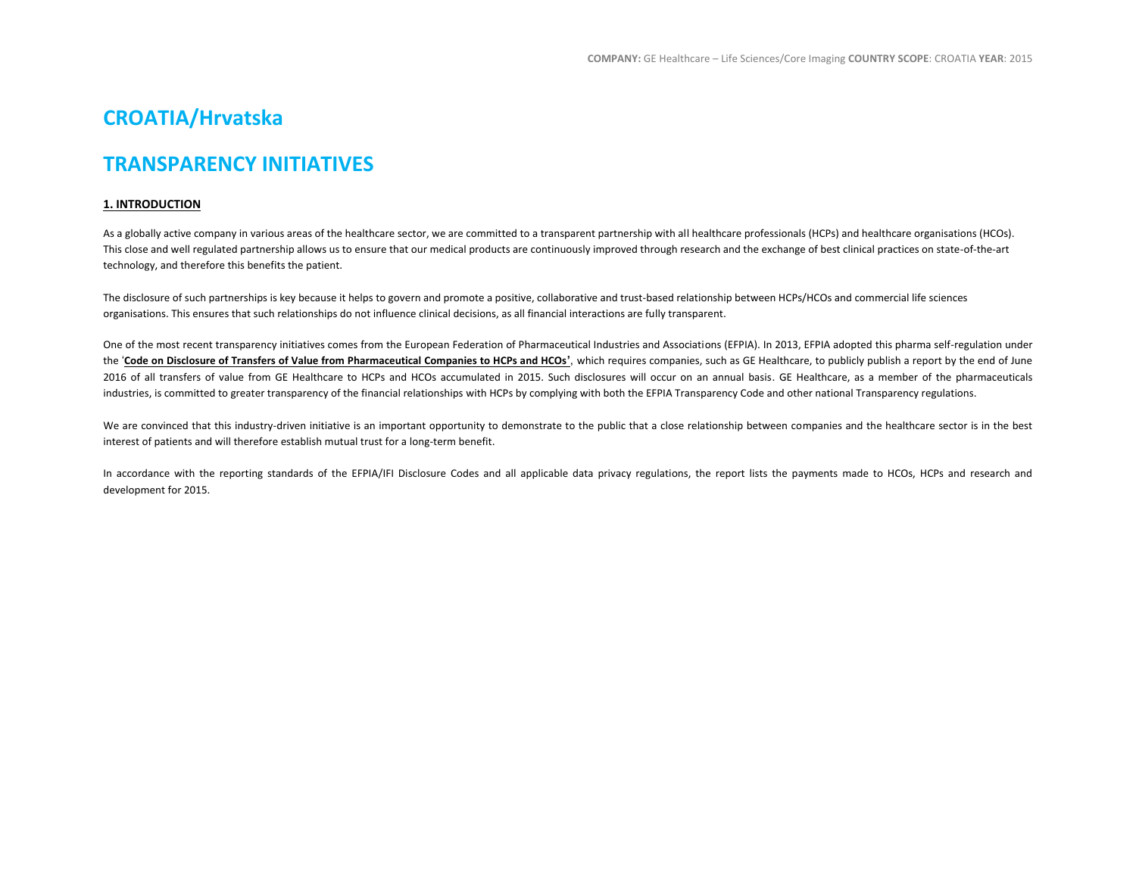# **CROATIA/Hrvatska**

# **TRANSPARENCY INITIATIVES**

## **1. INTRODUCTION**

As a globally active company in various areas of the healthcare sector, we are committed to a transparent partnership with all healthcare professionals (HCPs) and healthcare organisations (HCOs). This close and well regulated partnership allows us to ensure that our medical products are continuously improved through research and the exchange of best clinical practices on state-of-the-art technology, and therefore this benefits the patient.

The disclosure of such partnerships is key because it helps to govern and promote a positive, collaborative and trust-based relationship between HCPs/HCOs and commercial life sciences organisations. This ensures that such relationships do not influence clinical decisions, as all financial interactions are fully transparent.

One of the most recent transparency initiatives comes from the European Federation of Pharmaceutical Industries and Associations (EFPIA). In 2013, EFPIA adopted this pharma self-regulation under the '**[Code on Disclosure of Transfers of Value from Pharmaceutical Companies to HCPs and HCOs](http://transparency.efpia.eu/the-efpia-code-2)'**, which requires companies, such as GE Healthcare, to publicly publish a report by the end of June 2016 of all transfers of value from GE Healthcare to HCPs and HCOs accumulated in 2015. Such disclosures will occur on an annual basis. GE Healthcare, as a member of the pharmaceuticals industries, is committed to greater transparency of the financial relationships with HCPs by complying with both the EFPIA Transparency Code and other national Transparency regulations.

We are convinced that this industry-driven initiative is an important opportunity to demonstrate to the public that a close relationship between companies and the healthcare sector is in the best interest of patients and will therefore establish mutual trust for a long-term benefit.

In accordance with the reporting standards of the EFPIA/IFI Disclosure Codes and all applicable data privacy regulations, the report lists the payments made to HCOs, HCPs and research and development for 2015.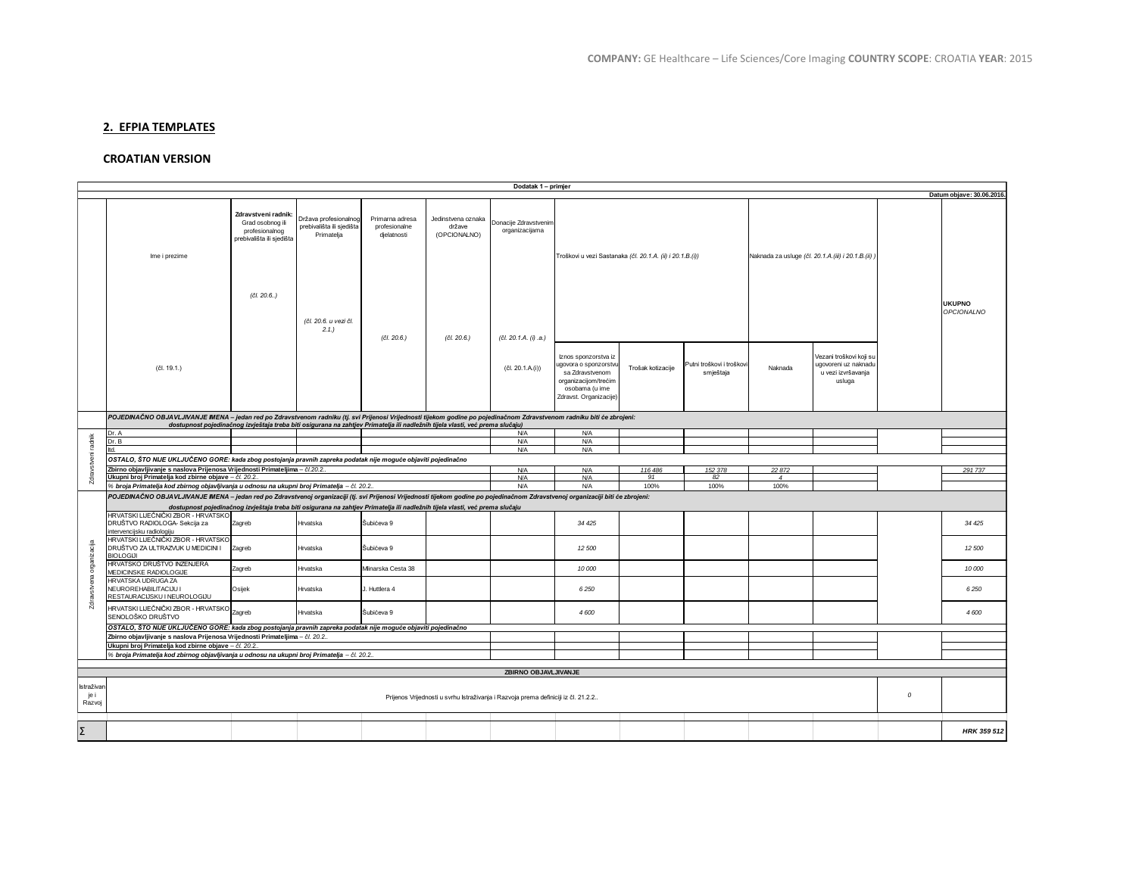# **2. EFPIA TEMPLATES**

## **CROATIAN VERSION**

|                              | Dodatak 1 - primjer                                                                                                                                                                                                                                                    |        |            |                                                                                                                               |                                              |                                         |                                                                                                                                      |                   |                                        |                                                     |                                                                                 |               |                             |
|------------------------------|------------------------------------------------------------------------------------------------------------------------------------------------------------------------------------------------------------------------------------------------------------------------|--------|------------|-------------------------------------------------------------------------------------------------------------------------------|----------------------------------------------|-----------------------------------------|--------------------------------------------------------------------------------------------------------------------------------------|-------------------|----------------------------------------|-----------------------------------------------------|---------------------------------------------------------------------------------|---------------|-----------------------------|
|                              |                                                                                                                                                                                                                                                                        |        |            |                                                                                                                               |                                              |                                         |                                                                                                                                      |                   |                                        |                                                     |                                                                                 |               | Datum objave: 30.06.2016    |
|                              | Zdravstveni radnik:<br>Država profesionalnog<br>Primarna adresa<br>Grad osobnog ili<br>prebivališta ili sjedišta<br>profesionalne<br>profesionalnog<br>Primatelja<br>djelatnosti<br>prebivališta ili sjedišta<br>Ime i prezime<br>(čl. 20.6.)<br>(čl. 20.6. u vezi čl. |        |            |                                                                                                                               | Jedinstvena oznaka<br>države<br>(OPCIONALNO) | Donacije Zdravstvenim<br>organizacijama | Troškovi u vezi Sastanaka (čl. 20.1.A. (ii) i 20.1.B.(i))                                                                            |                   |                                        | Naknada za usluge (čl. 20.1.A. (iii) i 20.1.B. (ii) |                                                                                 |               | <b>UKUPNO</b><br>OPCIONALNO |
|                              | (čl. 19.1.)                                                                                                                                                                                                                                                            |        | 2.1.       | (čl. 20.6.)                                                                                                                   | (čl. 20.6.)                                  | (čl. 20.1.A. (i).a.)<br>(čl. 20.1.A(i)) | Iznos sponzorstva iz<br>igovora o sponzorstvu<br>sa Zdravstvenom<br>organizacijom/trećim<br>osobama (u ime<br>Zdravst. Organizacije) | Trošak kotizacije | Putni troškovi i troškovi<br>smještaja | Naknada                                             | Vezani troškovi koji su<br>ugovoreni uz naknadı<br>u vezi izvršavanja<br>usluga |               |                             |
|                              | POJEDINAČNO OBJAVLJIVANJE IMENA - jedan red po Zdravstvenom radniku (tj. svi Prijenosi Vrijednosti tijekom godine po pojedinačnom Zdravstvenom radniku biti će zbrojeni:                                                                                               |        |            |                                                                                                                               |                                              |                                         |                                                                                                                                      |                   |                                        |                                                     |                                                                                 |               |                             |
|                              |                                                                                                                                                                                                                                                                        |        |            | dostupnost pojedinačnog izvještaja treba biti osigurana na zahtjev Primatelja ili nadležnih tijela vlasti, već prema slučaju) |                                              |                                         |                                                                                                                                      |                   |                                        |                                                     |                                                                                 |               |                             |
| radnik                       | Dr. A<br>Dr. B                                                                                                                                                                                                                                                         |        |            |                                                                                                                               |                                              | N/A<br><b>N/A</b>                       | <b>N/A</b><br><b>N/A</b>                                                                                                             |                   |                                        |                                                     |                                                                                 |               |                             |
|                              | ltd.                                                                                                                                                                                                                                                                   |        |            |                                                                                                                               |                                              | <b>N/A</b>                              | <b>N/A</b>                                                                                                                           |                   |                                        |                                                     |                                                                                 |               |                             |
|                              |                                                                                                                                                                                                                                                                        |        |            |                                                                                                                               |                                              |                                         |                                                                                                                                      |                   |                                        |                                                     |                                                                                 |               |                             |
|                              | OSTALO, ŠTO NIJE UKLJUČENO GORE: kada zbog postojanja pravnih zapreka podatak nije moguće objaviti pojedinačno<br><b>N/A</b>                                                                                                                                           |        |            |                                                                                                                               |                                              |                                         |                                                                                                                                      |                   |                                        |                                                     |                                                                                 |               |                             |
|                              | Zbirno objavljivanje s naslova Prijenosa Vrijednosti Primateljima - čl.20.2.                                                                                                                                                                                           |        |            |                                                                                                                               |                                              |                                         | N/A<br>N/A                                                                                                                           | 116 486<br>91     | 152 378<br>82                          | 22872                                               |                                                                                 |               | 291 737                     |
| Zdravstveni                  | Ukupni broj Primatelja kod zbirne objave - čl. 20.2.<br>6 broja Primatelja kod zbirnog objavljivanja u odnosu na ukupni broj Primatelja - čl. 20.2.                                                                                                                    |        |            |                                                                                                                               |                                              |                                         |                                                                                                                                      |                   |                                        | $\overline{4}$                                      |                                                                                 |               |                             |
|                              |                                                                                                                                                                                                                                                                        | N/A    | <b>N/A</b> | 100%                                                                                                                          | 100%                                         | 100%                                    |                                                                                                                                      |                   |                                        |                                                     |                                                                                 |               |                             |
|                              | POJEDINAČNO OBJAVLJIVANJE IMENA - jedan red po Zdravstvenoj organizaciji (tj. svi Prijenosi Vrijednosti tijekom godine po pojedinačnom Zdravstvenoj organizaciji biti će zbrojeni:                                                                                     |        |            |                                                                                                                               |                                              |                                         |                                                                                                                                      |                   |                                        |                                                     |                                                                                 |               |                             |
|                              | dostupnost pojedinačnog izvještaja treba biti osigurana na zahtjev Primatelja ili nadležnih tijela vlasti, već prema slučaju                                                                                                                                           |        |            |                                                                                                                               |                                              |                                         |                                                                                                                                      |                   |                                        |                                                     |                                                                                 |               |                             |
|                              | HRVATSKI LIJEČNIČKI ZBOR - HRVATSKO<br>DRUŠTVO RADIOLOGA- Sekcija za<br>intervencijsku radiologiju                                                                                                                                                                     | Zagreb | Hrvatska   | Šubićeva 9                                                                                                                    |                                              |                                         | 34 4 25                                                                                                                              |                   |                                        |                                                     |                                                                                 |               | 34 4 25                     |
| organizacija                 | HRVATSKI LIJEČNIČKI ZBOR - HRVATSKO<br>DRUŠTVO ZA ULTRAZVUK U MEDICINI I<br><b>BIOLOGIJI</b>                                                                                                                                                                           | Zagreb | Hrvatska   | Šubićeva 9                                                                                                                    |                                              |                                         | 12 500                                                                                                                               |                   |                                        |                                                     |                                                                                 |               | 12 500                      |
|                              | HRVATSKO DRUŠTVO INZENJERA<br>MEDICINSKE RADIOLOGIJE                                                                                                                                                                                                                   | Zagreb | Hrvatska   | Minarska Cesta 38                                                                                                             |                                              |                                         | 10 000                                                                                                                               |                   |                                        |                                                     |                                                                                 |               | 10 000                      |
| Zdravstvena                  | <b>HRVATSKA UDRUGA ZA</b><br>NEUROREHABILITACIJU I<br>RESTAURACIJSKU I NEUROLOGIJU                                                                                                                                                                                     | Osijek | Hrvatska   | J. Huttlera 4                                                                                                                 |                                              |                                         | 6250                                                                                                                                 |                   |                                        |                                                     |                                                                                 |               | 6250                        |
|                              | HRVATSKI LIJEČNIČKI ZBOR - HRVATSKO<br>SENOLOŠKO DRUŠTVO                                                                                                                                                                                                               | Zagreb | Hrvatska   | Šubićeva 9                                                                                                                    |                                              |                                         | 4 600                                                                                                                                |                   |                                        |                                                     |                                                                                 |               | 4600                        |
|                              | OSTALO, ŠTO NIJE UKLJUČENO GORE: kada zbog postojanja pravnih zapreka podatak nije moguće objaviti pojedinačno                                                                                                                                                         |        |            |                                                                                                                               |                                              |                                         |                                                                                                                                      |                   |                                        |                                                     |                                                                                 |               |                             |
|                              | Zbirno objavljivanje s naslova Prijenosa Vrijednosti Primateljima - čl. 20.2.                                                                                                                                                                                          |        |            |                                                                                                                               |                                              |                                         |                                                                                                                                      |                   |                                        |                                                     |                                                                                 |               |                             |
|                              | Ukupni broj Primatelja kod zbirne objave - čl. 20.2.                                                                                                                                                                                                                   |        |            |                                                                                                                               |                                              |                                         |                                                                                                                                      |                   |                                        |                                                     |                                                                                 |               |                             |
|                              | % broja Primatelja kod zbirnog objavljivanja u odnosu na ukupni broj Primatelja - čl. 20.2                                                                                                                                                                             |        |            |                                                                                                                               |                                              |                                         |                                                                                                                                      |                   |                                        |                                                     |                                                                                 |               |                             |
|                              |                                                                                                                                                                                                                                                                        |        |            |                                                                                                                               |                                              |                                         |                                                                                                                                      |                   |                                        |                                                     |                                                                                 |               |                             |
| ZBIRNO OBJAVLJIVANJE         |                                                                                                                                                                                                                                                                        |        |            |                                                                                                                               |                                              |                                         |                                                                                                                                      |                   |                                        |                                                     |                                                                                 |               |                             |
| Istraživar<br>je i<br>Razvoj | Prijenos Vrijednosti u svrhu Istraživanja i Razvoja prema definiciji iz čl. 21.2.2                                                                                                                                                                                     |        |            |                                                                                                                               |                                              |                                         |                                                                                                                                      |                   |                                        |                                                     |                                                                                 | $\mathcal{O}$ |                             |
|                              |                                                                                                                                                                                                                                                                        |        |            |                                                                                                                               |                                              |                                         |                                                                                                                                      |                   |                                        |                                                     |                                                                                 |               |                             |
| Σ                            |                                                                                                                                                                                                                                                                        |        |            |                                                                                                                               |                                              |                                         |                                                                                                                                      |                   |                                        |                                                     |                                                                                 |               | HRK 359 512                 |
|                              |                                                                                                                                                                                                                                                                        |        |            |                                                                                                                               |                                              |                                         |                                                                                                                                      |                   |                                        |                                                     |                                                                                 |               |                             |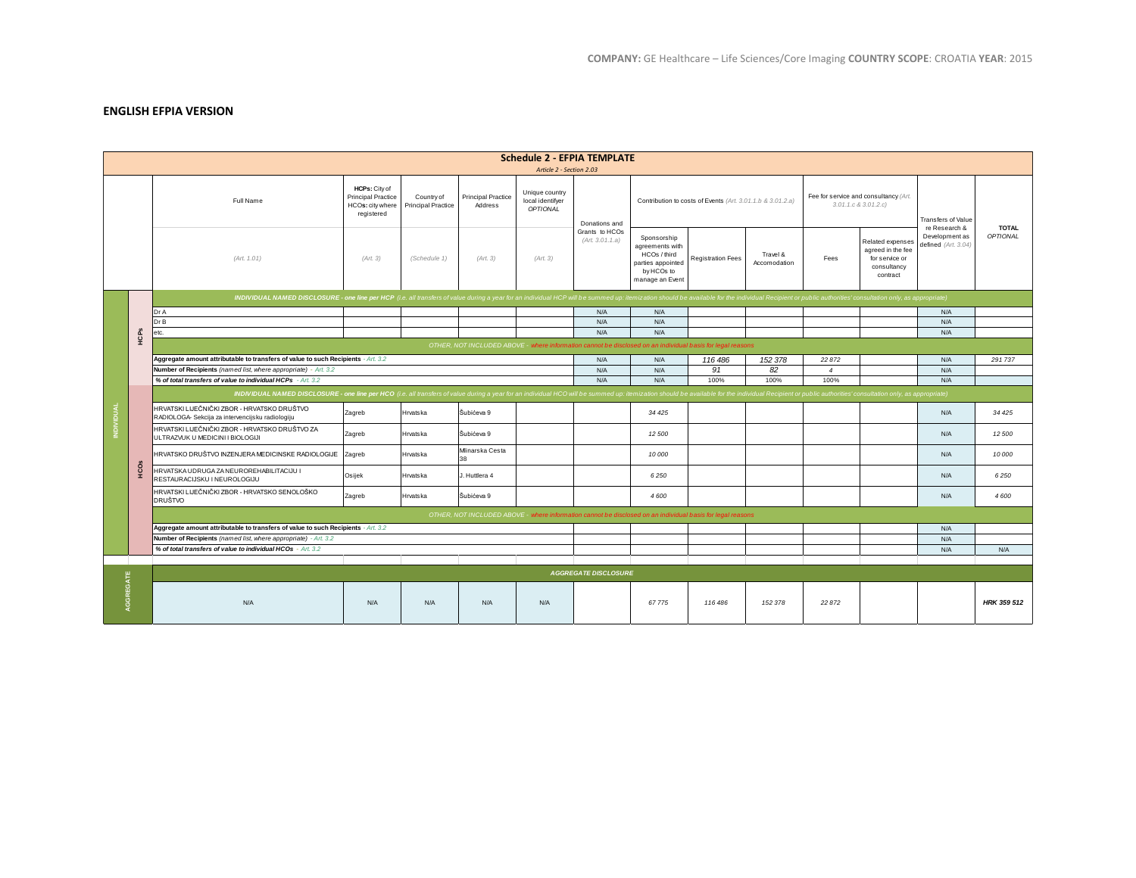# **ENGLISH EFPIA VERSION**

| <b>Schedule 2 - EFPIA TEMPLATE</b><br>Article 2 - Section 2.03 |              |                                                                                                                                                                                                                                |                                                                              |                                  |                                      |                                                |                                                    |                                                                                                      |                          |                          |                                                                    |                                                                                    |                                                        |                                 |  |
|----------------------------------------------------------------|--------------|--------------------------------------------------------------------------------------------------------------------------------------------------------------------------------------------------------------------------------|------------------------------------------------------------------------------|----------------------------------|--------------------------------------|------------------------------------------------|----------------------------------------------------|------------------------------------------------------------------------------------------------------|--------------------------|--------------------------|--------------------------------------------------------------------|------------------------------------------------------------------------------------|--------------------------------------------------------|---------------------------------|--|
|                                                                |              | Full Name                                                                                                                                                                                                                      | HCPs: City of<br><b>Principal Practice</b><br>HCOs: city where<br>registered | Country of<br>Principal Practice | <b>Principal Practice</b><br>Address | Unique country<br>local identifyer<br>OPTIONAL | Donations and<br>Grants to HCOs<br>(Art. 3.01.1.a) | Contribution to costs of Events (Art. 3.01.1.b & 3.01.2.a)                                           |                          |                          | Fee for service and consultancy (Art.<br>$3.01.1.c$ & $3.01.2.c$ ) |                                                                                    | <b>Transfers of Value</b>                              |                                 |  |
|                                                                |              | (Art. 1.01)                                                                                                                                                                                                                    | (Art. 3)                                                                     | (Schedule 1)                     | (Art. 3)                             | (Art. 3)                                       |                                                    | Sponsorship<br>agreements with<br>HCOs / third<br>parties appointed<br>by HCOs to<br>manage an Event | <b>Registration Fees</b> | Travel &<br>Accomodation | Fees                                                               | Related expenses<br>agreed in the fee<br>for service or<br>consultancy<br>contract | re Research &<br>Development as<br>defined (Art. 3.04) | <b>TOTAL</b><br><b>OPTIONAL</b> |  |
|                                                                |              | INDIVIDUAL NAMED DISCLOSURE - one line per HCP (i.e. all transfers of value during a year for an individual HCP will be summed up: itemization should be available for the individual Recipient or public authorities' consult |                                                                              |                                  |                                      |                                                |                                                    |                                                                                                      |                          |                          |                                                                    |                                                                                    |                                                        |                                 |  |
|                                                                | HCPS<br>HCOS | Dr A                                                                                                                                                                                                                           |                                                                              |                                  |                                      |                                                | N/A                                                | N/A                                                                                                  |                          |                          |                                                                    |                                                                                    | N/A                                                    |                                 |  |
|                                                                |              | Dr B                                                                                                                                                                                                                           |                                                                              |                                  |                                      |                                                | N/A                                                | N/A                                                                                                  |                          |                          |                                                                    |                                                                                    | N/A                                                    |                                 |  |
|                                                                |              | etc.                                                                                                                                                                                                                           |                                                                              |                                  |                                      |                                                | N/A                                                | N/A                                                                                                  |                          |                          |                                                                    |                                                                                    | N/A                                                    |                                 |  |
|                                                                |              | OTHER, NOT INCLUDED ABOVE - where information cannot be disclosed on an individual basis for legal reasons                                                                                                                     |                                                                              |                                  |                                      |                                                |                                                    |                                                                                                      |                          |                          |                                                                    |                                                                                    |                                                        |                                 |  |
|                                                                |              | Aggregate amount attributable to transfers of value to such Recipients - Art. 3.2                                                                                                                                              |                                                                              |                                  |                                      |                                                |                                                    | N/A                                                                                                  | 116 486                  | 152 378                  | 22 872                                                             |                                                                                    | N/A                                                    | 291737                          |  |
|                                                                |              | Number of Recipients (named list, where appropriate) - Art. 3.2                                                                                                                                                                |                                                                              |                                  |                                      |                                                |                                                    | N/A                                                                                                  | 91                       | 82                       | $\overline{4}$                                                     |                                                                                    | N/A                                                    |                                 |  |
|                                                                |              | % of total transfers of value to individual HCPs - Art. 3.2                                                                                                                                                                    |                                                                              |                                  |                                      |                                                |                                                    | N/A                                                                                                  | 100%                     | 100%                     | 100%                                                               |                                                                                    | N/A                                                    |                                 |  |
|                                                                |              | INDIVIDUAL NAMED DISCLOSURE - one line per HCO (i.e. all transfers of value during a year for an individual HCO will be summed up: itemization should be available for the individual Recipient or public authorities' consult |                                                                              |                                  |                                      |                                                |                                                    |                                                                                                      |                          |                          |                                                                    |                                                                                    |                                                        |                                 |  |
| <b>INDIVIDUAL</b>                                              |              | HRVATSKI LIJEČNIČKI ZBOR - HRVATSKO DRUŠTVO<br>RADIOLOGA- Sekcija za intervencijsku radiologiju                                                                                                                                | Zagreb                                                                       | Hrvatska                         | Šubićeva 9                           |                                                |                                                    | 34 4 25                                                                                              |                          |                          |                                                                    |                                                                                    | N/A                                                    | 34 4 25                         |  |
|                                                                |              | HRVATSKI LIJEČNIČKI ZBOR - HRVATSKO DRUŠTVO ZA<br>ULTRAZVUK U MEDICINI I BIOLOGIJI                                                                                                                                             | Zagreb                                                                       | Hrvatska                         | Šubićeva 9                           |                                                |                                                    | 12 500                                                                                               |                          |                          |                                                                    |                                                                                    | N/A                                                    | 12 500                          |  |
|                                                                |              | HRVATSKO DRUŠTVO INZENJERA MEDICINSKE RADIOLOGIJE Zagreb                                                                                                                                                                       |                                                                              | Hrvatska                         | Mlinarska Cesta<br>38                |                                                |                                                    | 10 000                                                                                               |                          |                          |                                                                    |                                                                                    | N/A                                                    | 10000                           |  |
|                                                                |              | HRVATSKA UDRUGA ZA NEUROREHABILITACIJU I<br>RESTAURACIJSKU I NEUROLOGIJU                                                                                                                                                       | Osijek                                                                       | Hrvatska                         | J. Huttlera 4                        |                                                |                                                    | 6250                                                                                                 |                          |                          |                                                                    |                                                                                    | N/A                                                    | 6250                            |  |
|                                                                |              | HRVATSKI LIJEČNIČKI ZBOR - HRVATSKO SENOLOŠKO<br><b>DRUŠTVO</b>                                                                                                                                                                | Zagreb                                                                       | Hrvatska                         | Šubićeva 9                           |                                                |                                                    | 4600                                                                                                 |                          |                          |                                                                    |                                                                                    | N/A                                                    | 4600                            |  |
|                                                                |              | OTHER, NOT INCLUDED ABOVE - where information cannot be disclosed on an individual basis for legal reasons                                                                                                                     |                                                                              |                                  |                                      |                                                |                                                    |                                                                                                      |                          |                          |                                                                    |                                                                                    |                                                        |                                 |  |
|                                                                |              | Aggregate amount attributable to transfers of value to such Recipients - Art. 3.2                                                                                                                                              |                                                                              |                                  |                                      |                                                |                                                    |                                                                                                      |                          |                          |                                                                    |                                                                                    | N/A                                                    |                                 |  |
|                                                                |              | Number of Recipients (named list, where appropriate) - Art. 3.2                                                                                                                                                                |                                                                              |                                  |                                      |                                                |                                                    |                                                                                                      |                          |                          |                                                                    |                                                                                    | N/A                                                    |                                 |  |
|                                                                |              | % of total transfers of value to individual HCOs - Art. 3.2                                                                                                                                                                    |                                                                              |                                  |                                      |                                                |                                                    |                                                                                                      |                          |                          |                                                                    |                                                                                    | N/A                                                    | N/A                             |  |
|                                                                |              |                                                                                                                                                                                                                                |                                                                              |                                  |                                      |                                                |                                                    |                                                                                                      |                          |                          |                                                                    |                                                                                    |                                                        |                                 |  |
|                                                                |              | <b>AGGREGATE DISCLOSURE</b>                                                                                                                                                                                                    |                                                                              |                                  |                                      |                                                |                                                    |                                                                                                      |                          |                          |                                                                    |                                                                                    |                                                        |                                 |  |
| AGGREGATE                                                      |              | N/A                                                                                                                                                                                                                            | N/A                                                                          | N/A                              | N/A                                  | N/A                                            |                                                    | 67775                                                                                                | 116 486                  | 152 378                  | 22 872                                                             |                                                                                    |                                                        | <b>HRK 359 512</b>              |  |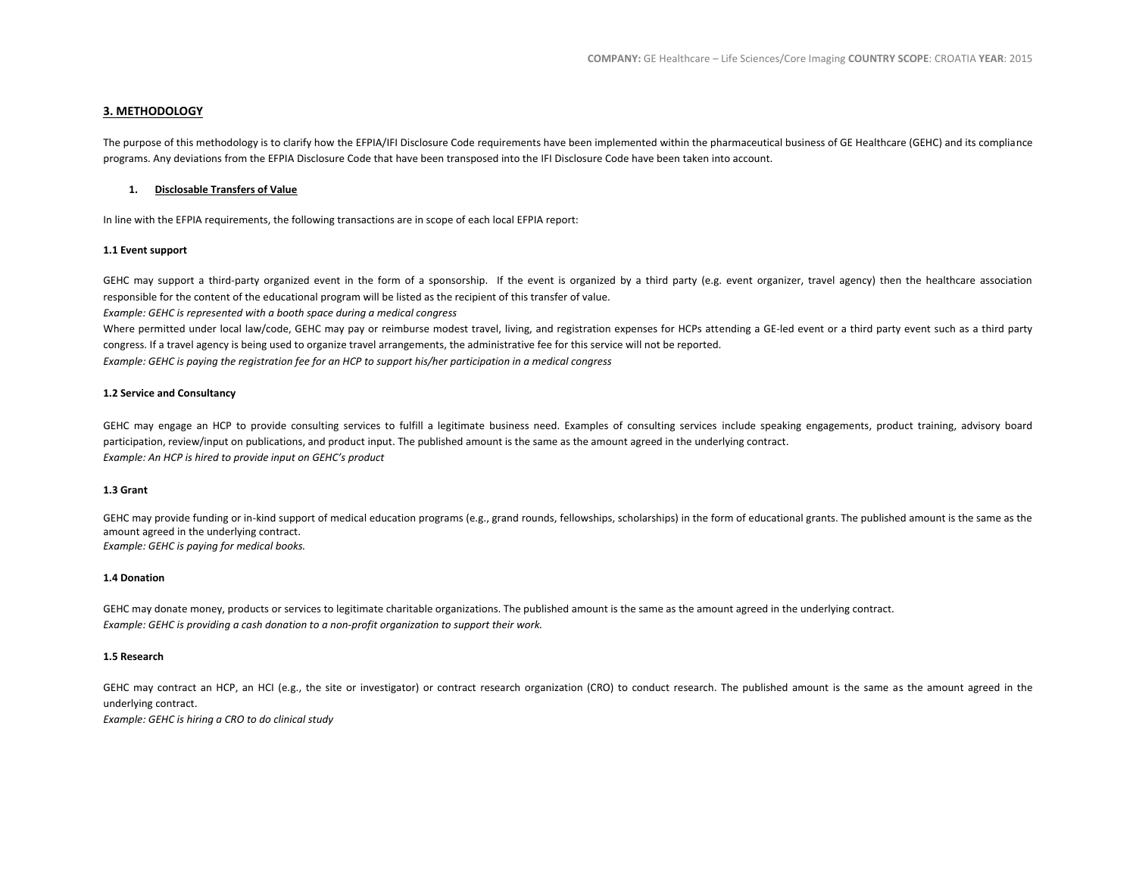### **3. METHODOLOGY**

The purpose of this methodology is to clarify how the EFPIA/IFI Disclosure Code requirements have been implemented within the pharmaceutical business of GE Healthcare (GEHC) and its compliance programs. Any deviations from the EFPIA Disclosure Code that have been transposed into the IFI Disclosure Code have been taken into account.

#### **1. Disclosable Transfers of Value**

In line with the EFPIA requirements, the following transactions are in scope of each local EFPIA report:

#### **1.1 Event support**

GEHC may support a third-party organized event in the form of a sponsorship. If the event is organized by a third party (e.g. event organizer, travel agency) then the healthcare association responsible for the content of the educational program will be listed as the recipient of this transfer of value.

*Example: GEHC is represented with a booth space during a medical congress*

Where permitted under local law/code, GEHC may pay or reimburse modest travel, living, and registration expenses for HCPs attending a GE-led event or a third party event such as a third party congress. If a travel agency is being used to organize travel arrangements, the administrative fee for this service will not be reported.

*Example: GEHC is paying the registration fee for an HCP to support his/her participation in a medical congress*

#### **1.2 Service and Consultancy**

GEHC may engage an HCP to provide consulting services to fulfill a legitimate business need. Examples of consulting services include speaking engagements, product training, advisory board participation, review/input on publications, and product input. The published amount is the same as the amount agreed in the underlying contract. *Example: An HCP is hired to provide input on GEHC's product*

#### **1.3 Grant**

GEHC may provide funding or in-kind support of medical education programs (e.g., grand rounds, fellowships, scholarships) in the form of educational grants. The published amount is the same as the amount agreed in the underlying contract. *Example: GEHC is paying for medical books.*

#### **1.4 Donation**

GEHC may donate money, products or services to legitimate charitable organizations. The published amount is the same as the amount agreed in the underlying contract. *Example: GEHC is providing a cash donation to a non-profit organization to support their work.*

#### **1.5 Research**

GEHC may contract an HCP, an HCI (e.g., the site or investigator) or contract research organization (CRO) to conduct research. The published amount is the same as the amount agreed in the underlying contract.

*Example: GEHC is hiring a CRO to do clinical study*